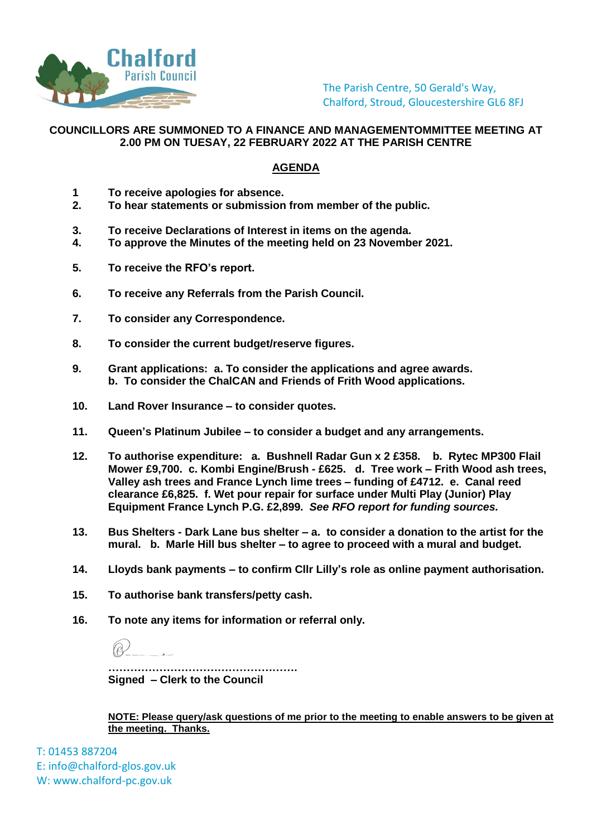

The Parish Centre, 50 Gerald's Way, Chalford, Stroud, Gloucestershire GL6 8FJ

## **COUNCILLORS ARE SUMMONED TO A FINANCE AND MANAGEMENTOMMITTEE MEETING AT 2.00 PM ON TUESAY, 22 FEBRUARY 2022 AT THE PARISH CENTRE**

## **AGENDA**

- **1 To receive apologies for absence.**
- **2. To hear statements or submission from member of the public.**
- **3. To receive Declarations of Interest in items on the agenda.**
- **4. To approve the Minutes of the meeting held on 23 November 2021.**
- **5. To receive the RFO's report.**
- **6. To receive any Referrals from the Parish Council.**
- **7. To consider any Correspondence.**
- **8. To consider the current budget/reserve figures.**
- **9. Grant applications: a. To consider the applications and agree awards. b. To consider the ChalCAN and Friends of Frith Wood applications.**
- **10. Land Rover Insurance – to consider quotes.**
- **11. Queen's Platinum Jubilee – to consider a budget and any arrangements.**
- **12. To authorise expenditure: a. Bushnell Radar Gun x 2 £358. b. Rytec MP300 Flail Mower £9,700. c. Kombi Engine/Brush - £625. d. Tree work – Frith Wood ash trees, Valley ash trees and France Lynch lime trees – funding of £4712. e. Canal reed clearance £6,825. f. Wet pour repair for surface under Multi Play (Junior) Play Equipment France Lynch P.G. £2,899.** *See RFO report for funding sources.*
- **13. Bus Shelters - Dark Lane bus shelter – a. to consider a donation to the artist for the mural. b. Marle Hill bus shelter – to agree to proceed with a mural and budget.**
- **14. Lloyds bank payments – to confirm Cllr Lilly's role as online payment authorisation.**
- **15. To authorise bank transfers/petty cash.**
- **16. To note any items for information or referral only.**

**……………………………………………. Signed – Clerk to the Council**

**NOTE: Please query/ask questions of me prior to the meeting to enable answers to be given at the meeting. Thanks.** 

T: 01453 887204 E: info@chalford-glos.gov.uk W: www.chalford-pc.gov.uk